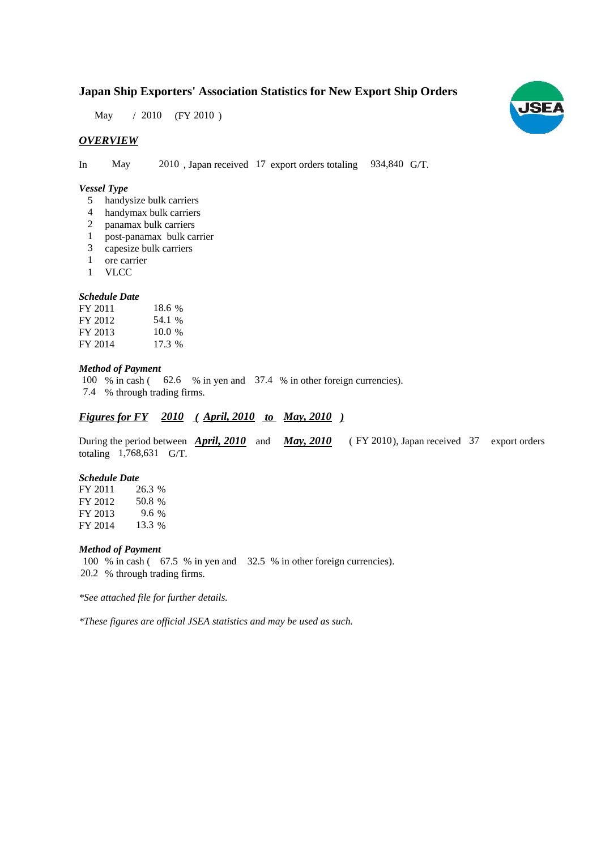# **Japan Ship Exporters' Association Statistics for New Export Ship Orders**

May / 2010 (FY 2010)

# *OVERVIEW*

In May 2010, Japan received 17 export orders totaling 934,840 G/T.

## *Vessel Type*

- handysize bulk carriers 5
- handymax bulk carriers 4
- panamax bulk carriers 2
- post-panamax bulk carrier 1
- capesize bulk carriers 3
- ore carrier 1
- VLCC 1

## *Schedule Date*

| FY 2011 | 18.6 %   |
|---------|----------|
| FY 2012 | 54.1 %   |
| FY 2013 | $10.0\%$ |
| FY 2014 | 17.3 %   |

## *Method of Payment*

100 % in cash (62.6 % in yen and 37.4 % in other foreign currencies). % through trading firms. 7.4

# *Figures for FY* 2010 (April, 2010 to May, 2010)

During the period between **April, 2010** and **May, 2010** (FY 2010), Japan received 37 export orders totaling  $1,768,631$  G/T.

#### *Schedule Date*

FY 2011 FY 2012 FY 2013 FY 2014 26.3 50.8 9.6 13.3

### *Method of Payment*

100 % in cash ( $\,67.5\%$  in yen and  $\,32.5\%$  in other foreign currencies). % through trading firms. 20.2

*\*See attached file for further details.*

*\*These figures are official JSEA statistics and may be used as such.*

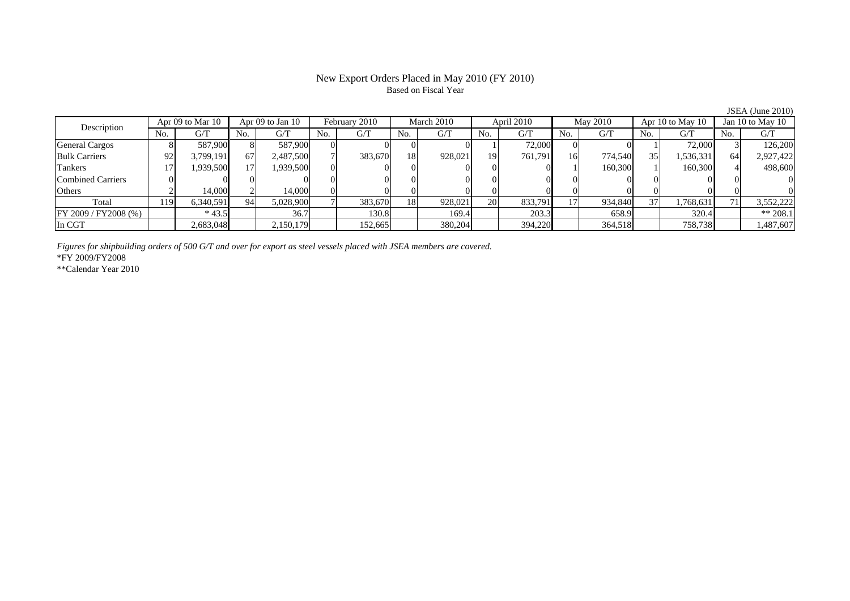## New Export Orders Placed in May 2010 (FY 2010) Based on Fiscal Year

JSEA (June 2010)

| Description           |     | Apr 09 to Mar 10 |      | Apr $09$ to Jan $10$ |     | February 2010 |           | March 2010 |           | April 2010 |     | May 2010 |     | Apr 10 to May 10 |     | Jan 10 to May 10 |  |
|-----------------------|-----|------------------|------|----------------------|-----|---------------|-----------|------------|-----------|------------|-----|----------|-----|------------------|-----|------------------|--|
|                       | No. | G/T              | No.  | G/T                  | No. | G/T           | No.       | G/T        | No.       | G/T        | No. | G/T      | No. | G/T              | No. | G/T              |  |
| <b>General Cargos</b> |     | 587.900          |      | 587,900              |     |               |           |            |           | 72,000     |     |          |     | 72,000           |     | 126,200          |  |
| <b>Bulk Carriers</b>  | 92  | 3,799,191        | 67   | 2,487,500            |     | 383,670       | 18        | 928,021    | 19        | 761.791    | 16  | 774.540  | 35  | 1,536,331        | 64  | 2,927,422        |  |
| Tankers               |     | !939,500         |      | 1.939.500            |     |               |           |            |           |            |     | 160,300  |     | 160,300          |     | 498,600          |  |
| Combined Carriers     |     |                  |      |                      |     |               |           |            |           |            |     |          |     |                  |     |                  |  |
| Others                |     | 14.000           |      | 14.000               |     |               |           |            |           |            |     |          |     |                  |     |                  |  |
| Total                 | 119 | 6,340,591        | -94. | 5,028,900            |     | 383,670       | <b>18</b> | 928,021    | <b>20</b> | 833,791    |     | 934,840  | 37  | 1,768,631        | 7   | 3,552,222        |  |
| FY 2009 / FY 2008 (%) |     | $*43.5$          |      | 36.7                 |     | 130.8         |           | 169.4      |           | 203.3      |     | 658.9    |     | 320.4            |     | $** 208.1$       |  |
| In CGT                |     | 2,683,048        |      | 2,150,179            |     | 152,665       |           | 380,204    |           | 394,220    |     | 364,518  |     | 758,738          |     | ,487,607         |  |

*Figures for shipbuilding orders of 500 G/T and over for export as steel vessels placed with JSEA members are covered.*

\*FY 2009/FY2008

\*\*Calendar Year 2010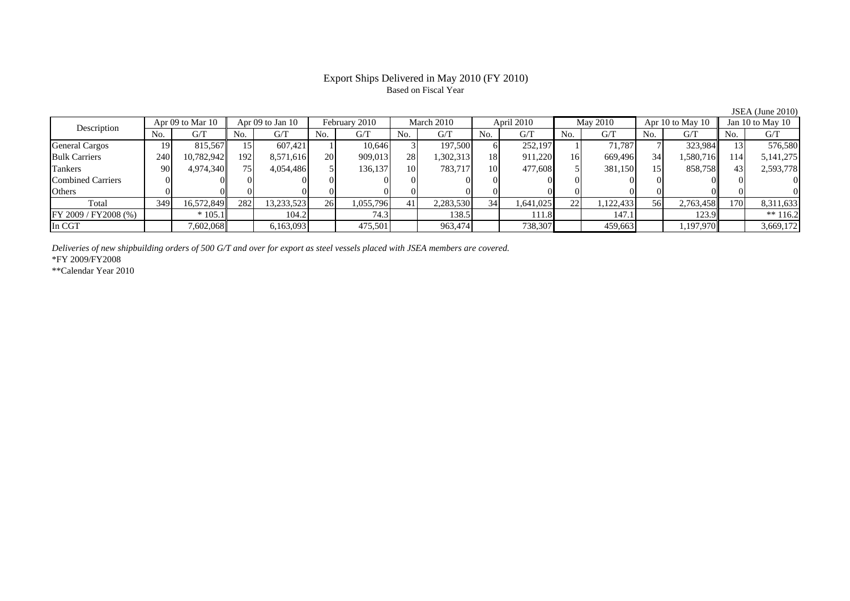# Export Ships Delivered in May 2010 (FY 2010) Based on Fiscal Year

JSEA (June 2010)

| Apr 09 to Mar 10<br>Description |                 |            | Apr 09 to Jan 10 |            | February 2010 |           | March 2010 |           | April 2010      |           | May 2010 |           | Apr 10 to May $10$ |           | Jan 10 to May 10 |             |
|---------------------------------|-----------------|------------|------------------|------------|---------------|-----------|------------|-----------|-----------------|-----------|----------|-----------|--------------------|-----------|------------------|-------------|
|                                 | No.             | G/T        | No.              | G/T        | No.           | G/T       | No.        | G/T       | N <sub>0</sub>  | G/T       | No.      | G/T       | No.                | G/T       | No.              | G/T         |
| <b>General Cargos</b>           | 19.             | 815.567    | l 5              | 607.421    |               | 10.646    |            | 197,500   |                 | 252,197   |          | 71.787    |                    | 323,984   |                  | 576,580     |
| <b>Bulk Carriers</b>            | 240             | 10,782,942 | 192              | 8,571,616  | 20            | 909,013   | 28         | 1,302,313 | 18              | 911,220   | 16       | 669,496   | 34                 | 1,580,716 | 114              | 5, 141, 275 |
| Tankers                         | 90 <sub>1</sub> | 4,974,340  | 75 <sub>1</sub>  | 4,054,486  |               | 136.137   | 10         | 783.717   | 10 <sup>1</sup> | 477,608   |          | 381,150   | 15                 | 858,758   | 43               | 2,593,778   |
| Combined Carriers               |                 |            |                  |            |               |           |            |           |                 |           |          |           |                    |           |                  |             |
| <b>Others</b>                   |                 |            |                  |            |               |           |            |           |                 |           |          |           |                    |           |                  |             |
| Total                           | 349             | 16,572,849 | 282              | 13,233,523 | 26            | 1,055,796 | 41         | 2,283,530 | 34              | 1,641,025 | 22       | 1,122,433 | 56                 | 2,763,458 | 170              | 8,311,633   |
| $FY$ 2009 / FY 2008 (%)         |                 | $*105.1$   |                  | 104.2      |               | 74.3      |            | 138.5     |                 | 111.8     |          | 147.1     |                    | 123.9     |                  | $** 116.2$  |
| In CGT                          |                 | 7,602,068  |                  | 6,163,093  |               | 475,501   |            | 963,474   |                 | 738,307   |          | 459,663   |                    | 1,197,970 |                  | 3,669,172   |

*Deliveries of new shipbuilding orders of 500 G/T and over for export as steel vessels placed with JSEA members are covered.*

\*FY 2009/FY2008

\*\*Calendar Year 2010